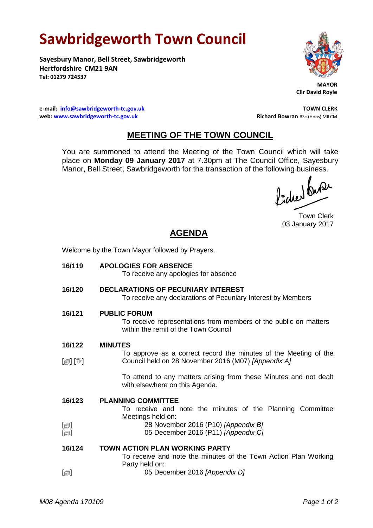# **Sawbridgeworth Town Council**

**Sayesbury Manor, Bell Street, Sawbridgeworth Hertfordshire CM21 9AN Tel: 01279 724537**



 **MAYOR Cllr David Royle**

**e-mail: [info@sawbridgeworth-tc.gov.uk](mailto:info@sawbridgeworth-tc.gov.uk) TOWN CLERK web: www.sawbridgeworth-tc.gov.uk and Bowran BSc.(Hons) MILCM Richard Bowran BSc.(Hons) MILCM** 

# **MEETING OF THE TOWN COUNCIL**

You are summoned to attend the Meeting of the Town Council which will take place on **Monday 09 January 2017** at 7.30pm at The Council Office, Sayesbury Manor, Bell Street, Sawbridgeworth for the transaction of the following business.

Picked Que

Town Clerk 03 January 2017

# **AGENDA**

Welcome by the Town Mayor followed by Prayers.

| 16/119                                       | <b>APOLOGIES FOR ABSENCE</b><br>To receive any apologies for absence                                                            |
|----------------------------------------------|---------------------------------------------------------------------------------------------------------------------------------|
| 16/120                                       | DECLARATIONS OF PECUNIARY INTEREST<br>To receive any declarations of Pecuniary Interest by Members                              |
| 16/121                                       | <b>PUBLIC FORUM</b><br>To receive representations from members of the public on matters<br>within the remit of the Town Council |
| 16/122                                       | <b>MINUTES</b>                                                                                                                  |
| $\mathbb{D}[\mathbb{D}^1]$                   | To approve as a correct record the minutes of the Meeting of the<br>Council held on 28 November 2016 (M07) [Appendix A]         |
|                                              | To attend to any matters arising from these Minutes and not dealt<br>with elsewhere on this Agenda.                             |
| 16/123                                       | <b>PLANNING COMMITTEE</b><br>To receive and note the minutes of the Planning Committee<br>Meetings held on:                     |
| $\lbrack \oplus \rbrack$<br>$[\blacksquare]$ | 28 November 2016 (P10) [Appendix B]<br>05 December 2016 (P11) [Appendix C]                                                      |
| 16/124                                       | <b>TOWN ACTION PLAN WORKING PARTY</b><br>To receive and note the minutes of the Town Action Plan Working                        |
| $[\blacksquare]$                             | Party held on:<br>05 December 2016 [Appendix D]                                                                                 |